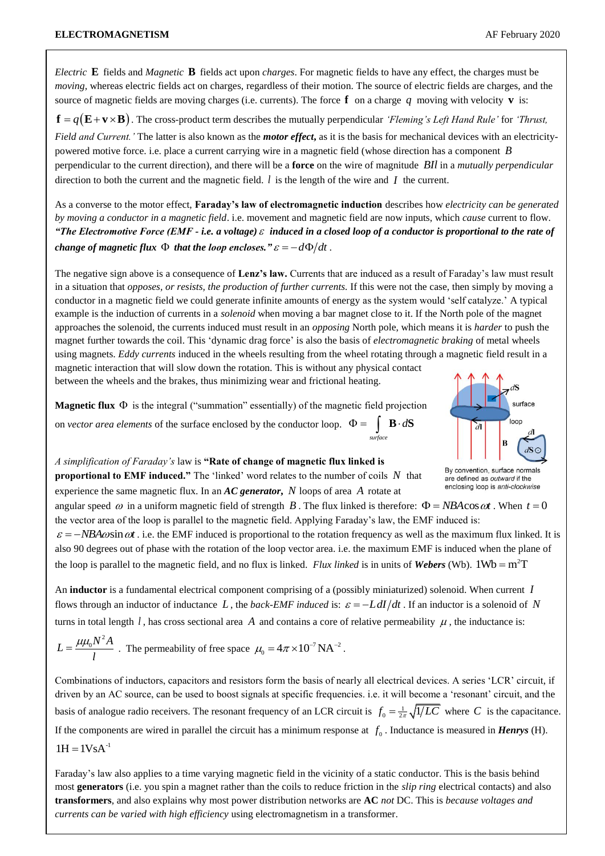*Electric* **E** fields and *Magnetic* **B** fields act upon *charges*. For magnetic fields to have any effect, the charges must be *moving*, whereas electric fields act on charges, regardless of their motion. The source of electric fields are charges, and the source of magnetic fields are moving charges (i.e. currents). The force  $f$  on a charge  $q$  moving with velocity  $v$  is:  $\mathbf{f} = q(\mathbf{E} + \mathbf{v} \times \mathbf{B})$ . The cross-product term describes the mutually perpendicular *'Fleming's Left Hand Rule'* for *'Thrust*, *Field and Current.'* The latter is also known as the *motor effect***,** as it is the basis for mechanical devices with an electricitypowered motive force. i.e. place a current carrying wire in a magnetic field (whose direction has a component *B* perpendicular to the current direction), and there will be a **force** on the wire of magnitude *BIl* in a *mutually perpendicular*

direction to both the current and the magnetic field.  $l$  is the length of the wire and  $I$  the current.

As a converse to the motor effect, **Faraday's law of electromagnetic induction** describes how *electricity can be generated by moving a conductor in a magnetic field*. i.e. movement and magnetic field are now inputs, which *cause* current to flow. *"The Electromotive Force (EMF - i.e. a voltage)*  $\varepsilon$  induced in a closed loop of a conductor is proportional to the rate of *change of magnetic flux*  $\,\Phi\,$  *that the loop encloses.*"  $\varepsilon = -d\Phi/dt$  .

The negative sign above is a consequence of **Lenz's law.** Currents that are induced as a result of Faraday's law must result in a situation that *opposes, or resists, the production of further currents.* If this were not the case, then simply by moving a conductor in a magnetic field we could generate infinite amounts of energy as the system would 'self catalyze.' A typical example is the induction of currents in a *solenoid* when moving a bar magnet close to it. If the North pole of the magnet approaches the solenoid, the currents induced must result in an *opposing* North pole, which means it is *harder* to push the magnet further towards the coil. This 'dynamic drag force' is also the basis of *electromagnetic braking* of metal wheels using magnets. *Eddy currents* induced in the wheels resulting from the wheel rotating through a magnetic field result in a magnetic interaction that will slow down the rotation. This is without any physical contact between the wheels and the brakes, thus minimizing wear and frictional heating.

**Magnetic flux**  $\Phi$  is the integral ("summation" essentially) of the magnetic field projection

on *vector area elements* of the surface enclosed by the conductor loop.  $\Phi =$ *surface*  $\Phi = \int \mathbf{B} \cdot d\mathbf{S}$ 



By convention, surface normals are defined as outward if the enclosing loop is anti-clockwise

*A simplification of Faraday's* law is **"Rate of change of magnetic flux linked is** 

**proportional to EMF induced."** The 'linked' word relates to the number of coils *N* that experience the same magnetic flux. In an *AC generator***,** *N* loops of area *A* rotate at

angular speed  $\omega$  in a uniform magnetic field of strength B. The flux linked is therefore:  $\Phi = NBA \cos \omega t$ . When  $t = 0$ the vector area of the loop is parallel to the magnetic field. Applying Faraday's law, the EMF induced is:

 $\varepsilon = -NBA \omega \sin \omega t$ . i.e. the EMF induced is proportional to the rotation frequency as well as the maximum flux linked. It is also 90 degrees out of phase with the rotation of the loop vector area. i.e. the maximum EMF is induced when the plane of the loop is parallel to the magnetic field, and no flux is linked. *Flux linked* is in units of *Webers* (Wb).  $1Wb = m^2T$ 

An **inductor** is a fundamental electrical component comprising of a (possibly miniaturized) solenoid. When current *I* flows through an inductor of inductance L, the *back-EMF induced* is:  $\varepsilon = -L \frac{dI}{dt}$ . If an inductor is a solenoid of N turns in total length  $l$ , has cross sectional area  $A$  and contains a core of relative permeability  $\mu$ , the inductance is:

$$
L = \frac{\mu \mu_0 N^2 A}{l}
$$
. The permeability of free space  $\mu_0 = 4\pi \times 10^{-7} \text{NA}^{-2}$ .

Combinations of inductors, capacitors and resistors form the basis of nearly all electrical devices. A series 'LCR' circuit, if driven by an AC source, can be used to boost signals at specific frequencies. i.e. it will become a 'resonant' circuit, and the basis of analogue radio receivers. The resonant frequency of an LCR circuit is  $f_0 = \frac{1}{2\pi} \sqrt{1/LC}$  where C is the capacitance. If the components are wired in parallel the circuit has a minimum response at  $f_0$ . Inductance is measured in *Henrys* (H).

 $1H = 1VsA^{-1}$ 

Faraday's law also applies to a time varying magnetic field in the vicinity of a static conductor. This is the basis behind most **generators** (i.e. you spin a magnet rather than the coils to reduce friction in the *slip ring* electrical contacts) and also **transformers**, and also explains why most power distribution networks are **AC** *not* DC. This is *because voltages and currents can be varied with high efficiency* using electromagnetism in a transformer.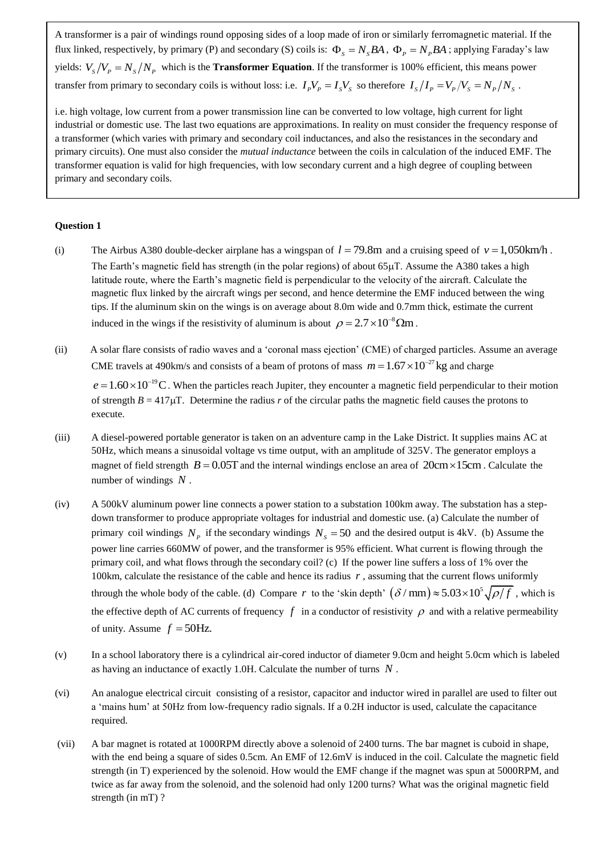A transformer is a pair of windings round opposing sides of a loop made of iron or similarly ferromagnetic material. If the flux linked, respectively, by primary (P) and secondary (S) coils is:  $\Phi_s = N_sBA$ ,  $\Phi_p = N_pBA$ ; applying Faraday's law yields:  $V_s/V_p = N_s/N_p$  which is the **Transformer Equation**. If the transformer is 100% efficient, this means power transfer from primary to secondary coils is without loss: i.e.  $I_p V_p = I_s V_s$  so therefore  $I_s/I_p = V_p/V_s = N_p/N_s$ .

i.e. high voltage, low current from a power transmission line can be converted to low voltage, high current for light industrial or domestic use. The last two equations are approximations. In reality on must consider the frequency response of a transformer (which varies with primary and secondary coil inductances, and also the resistances in the secondary and primary circuits). One must also consider the *mutual inductance* between the coils in calculation of the induced EMF. The transformer equation is valid for high frequencies, with low secondary current and a high degree of coupling between primary and secondary coils.

## **Question 1**

- (i) The Airbus A380 double-decker airplane has a wingspan of  $l = 79.8$ m and a cruising speed of  $v = 1,050$ km/h. The Earth's magnetic field has strength (in the polar regions) of about  $65\mu$ T. Assume the A380 takes a high latitude route, where the Earth's magnetic field is perpendicular to the velocity of the aircraft. Calculate the magnetic flux linked by the aircraft wings per second, and hence determine the EMF induced between the wing tips. If the aluminum skin on the wings is on average about 8.0m wide and 0.7mm thick, estimate the current induced in the wings if the resistivity of aluminum is about  $\rho = 2.7 \times 10^{-8} \Omega m$ .
- (ii) A solar flare consists of radio waves and a 'coronal mass ejection' (CME) of charged particles. Assume an average CME travels at 490km/s and consists of a beam of protons of mass  $m = 1.67 \times 10^{-27}$  kg and charge

 $e = 1.60 \times 10^{-19}$ C. When the particles reach Jupiter, they encounter a magnetic field perpendicular to their motion of strength  $B = 417 \mu T$ . Determine the radius *r* of the circular paths the magnetic field causes the protons to execute.

- (iii) A diesel-powered portable generator is taken on an adventure camp in the Lake District. It supplies mains AC at 50Hz, which means a sinusoidal voltage vs time output, with an amplitude of 325V. The generator employs a magnet of field strength  $B = 0.05$ T and the internal windings enclose an area of  $20$ cm  $\times$ 15cm. Calculate the number of windings *N* .
- (iv) A 500kV aluminum power line connects a power station to a substation 100km away. The substation has a stepdown transformer to produce appropriate voltages for industrial and domestic use. (a) Calculate the number of primary coil windings  $N_p$  if the secondary windings  $N_s = 50$  and the desired output is 4kV. (b) Assume the power line carries 660MW of power, and the transformer is 95% efficient. What current is flowing through the primary coil, and what flows through the secondary coil? (c) If the power line suffers a loss of 1% over the 100km, calculate the resistance of the cable and hence its radius  $r$ , assuming that the current flows uniformly through the whole body of the cable. (d) Compare *r* to the 'skin depth'  $(\delta / \text{mm}) \approx 5.03 \times 10^5 \sqrt{\rho/f}$ , which is the effective depth of AC currents of frequency  $f$  in a conductor of resistivity  $\rho$  and with a relative permeability of unity. Assume  $f = 50$ Hz.
- (v) In a school laboratory there is a cylindrical air-cored inductor of diameter 9.0cm and height 5.0cm which is labeled as having an inductance of exactly 1.0H. Calculate the number of turns *N* .
- (vi) An analogue electrical circuit consisting of a resistor, capacitor and inductor wired in parallel are used to filter out a 'mains hum' at 50Hz from low-frequency radio signals. If a 0.2H inductor is used, calculate the capacitance required.
- (vii) A bar magnet is rotated at 1000RPM directly above a solenoid of 2400 turns. The bar magnet is cuboid in shape, with the end being a square of sides 0.5cm. An EMF of 12.6mV is induced in the coil. Calculate the magnetic field strength (in T) experienced by the solenoid. How would the EMF change if the magnet was spun at 5000RPM, and twice as far away from the solenoid, and the solenoid had only 1200 turns? What was the original magnetic field strength (in mT) ?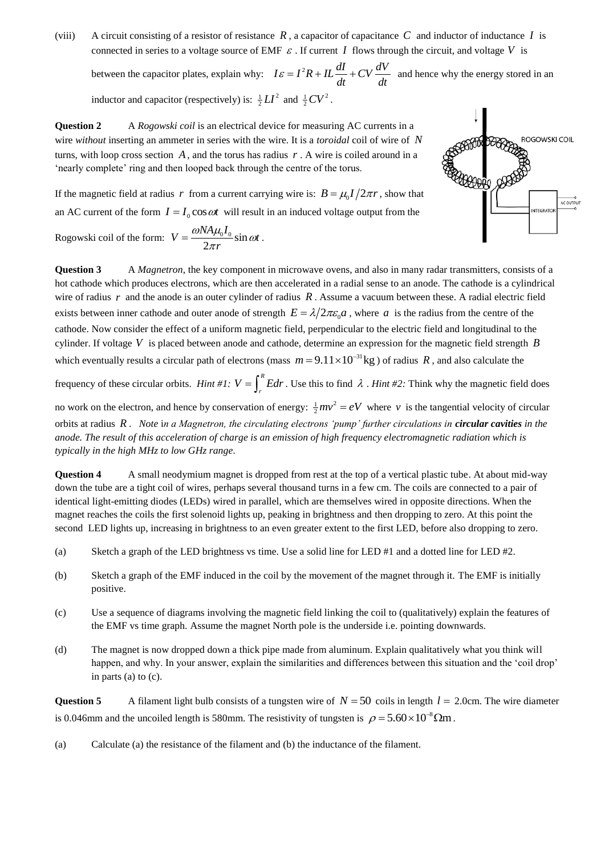(viii) A circuit consisting of a resistor of resistance  $R$ , a capacitor of capacitance  $C$  and inductor of inductance  $I$  is connected in series to a voltage source of EMF  $\varepsilon$ . If current I flows through the circuit, and voltage V is between the capacitor plates, explain why:  $I\epsilon = I^2 R + IL\frac{dI}{dt} + CV\frac{dV}{dt}$  $\frac{d}{dt}$  +  $CV - \frac{d}{dt}$  $\varepsilon = I^2 R + IL \frac{dI}{dt} + CV \frac{dV}{dt}$  and hence why the energy stored in an

inductor and capacitor (respectively) is:  $\frac{1}{2}LI^2$  and  $\frac{1}{2}CV^2$ .

**Question 2** A *Rogowski coil* is an electrical device for measuring AC currents in a wire *without* inserting an ammeter in series with the wire. It is a *toroidal* coil of wire of *N* turns, with loop cross section  $A$ , and the torus has radius  $r$ . A wire is coiled around in a 'nearly complete' ring and then looped back through the centre of the torus.

If the magnetic field at radius r from a current carrying wire is:  $B = \mu_0 I / 2\pi r$ , show that

**ROGOWSKI COIL** AC OUTPI INTEGRATOR

an AC current of the form  $I = I_0 \cos \omega t$  will result in an induced voltage output from the Rogowski coil of the form:  $V = \frac{\omega N A \mu_0 I_0}{2} \sin$ 2  $V = \frac{\omega N A \mu_0 I_0}{2} \sin \omega t$ *r*  $\omega N A \mu_0 I_0$  sin  $\omega$  $=\frac{\omega_1\omega_1\mu_0\omega_0}{2\pi r}\sin \omega t\ .$ 

**Question 3** A *Magnetron*, the key component in microwave ovens, and also in many radar transmitters, consists of a hot cathode which produces electrons, which are then accelerated in a radial sense to an anode. The cathode is a cylindrical wire of radius  $r$  and the anode is an outer cylinder of radius  $R$ . Assume a vacuum between these. A radial electric field exists between inner cathode and outer anode of strength  $E = \lambda/2\pi\varepsilon_0 a$ , where a is the radius from the centre of the cathode. Now consider the effect of a uniform magnetic field, perpendicular to the electric field and longitudinal to the cylinder. If voltage *V* is placed between anode and cathode, determine an expression for the magnetic field strength *B* which eventually results a circular path of electrons (mass  $m = 9.11 \times 10^{-31}$  kg) of radius R, and also calculate the

frequency of these circular orbits. *Hint* #1:  $V = \int_{0}^{R}$  $V = \int_{r}^{R} E dr$ . Use this to find  $\lambda$ . *Hint* #2: Think why the magnetic field does

no work on the electron, and hence by conservation of energy:  $\frac{1}{2}mv^2 = eV$  where v is the tangential velocity of circular orbits at radius *R* . *Note* i*n a Magnetron, the circulating electrons 'pump' further circulations in circular cavities in the anode. The result of this acceleration of charge is an emission of high frequency electromagnetic radiation which is typically in the high MHz to low GHz range.*

**Question 4** A small neodymium magnet is dropped from rest at the top of a vertical plastic tube. At about mid-way down the tube are a tight coil of wires, perhaps several thousand turns in a few cm. The coils are connected to a pair of identical light-emitting diodes (LEDs) wired in parallel, which are themselves wired in opposite directions. When the magnet reaches the coils the first solenoid lights up, peaking in brightness and then dropping to zero. At this point the second LED lights up, increasing in brightness to an even greater extent to the first LED, before also dropping to zero.

- (a) Sketch a graph of the LED brightness vs time. Use a solid line for LED #1 and a dotted line for LED #2.
- (b) Sketch a graph of the EMF induced in the coil by the movement of the magnet through it. The EMF is initially positive.
- (c) Use a sequence of diagrams involving the magnetic field linking the coil to (qualitatively) explain the features of the EMF vs time graph. Assume the magnet North pole is the underside i.e. pointing downwards.
- (d) The magnet is now dropped down a thick pipe made from aluminum. Explain qualitatively what you think will happen, and why. In your answer, explain the similarities and differences between this situation and the 'coil drop' in parts (a) to (c).

**Question 5** A filament light bulb consists of a tungsten wire of  $N = 50$  coils in length  $l = 2.0$ cm. The wire diameter is 0.046mm and the uncoiled length is 580mm. The resistivity of tungsten is  $\rho = 5.60 \times 10^{-8} \Omega m$ .

(a) Calculate (a) the resistance of the filament and (b) the inductance of the filament.